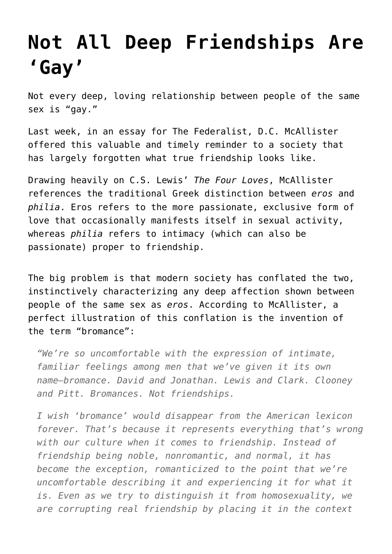## **[Not All Deep Friendships Are](https://intellectualtakeout.org/2016/01/not-all-deep-friendships-are-gay/) ['Gay'](https://intellectualtakeout.org/2016/01/not-all-deep-friendships-are-gay/)**

Not every deep, loving relationship between people of the same sex is "gay."

Last week, in an essay for The Federalist, D.C. McAllister offered this valuable and timely reminder to a society that has largely forgotten what true friendship looks like.

Drawing heavily on C.S. Lewis' *The Four Loves*, McAllister references the traditional Greek distinction between *eros* and *philia*. Eros refers to the more passionate, exclusive form of love that occasionally manifests itself in sexual activity, whereas *philia* refers to intimacy (which can also be passionate) proper to friendship.

The big problem is that modern society has conflated the two, instinctively characterizing any deep affection shown between people of the same sex as *eros*. According to McAllister, a perfect illustration of this conflation is the invention of the term "bromance":

*"We're so uncomfortable with the expression of intimate, familiar feelings among men that we've given it its own name—bromance. David and Jonathan. Lewis and Clark. Clooney and Pitt. Bromances. Not friendships.*

*I wish 'bromance' would disappear from the American lexicon forever. That's because it represents everything that's wrong with our culture when it comes to friendship. Instead of friendship being noble, nonromantic, and normal, it has become the exception, romanticized to the point that we're uncomfortable describing it and experiencing it for what it is. Even as we try to distinguish it from homosexuality, we are corrupting real friendship by placing it in the context*